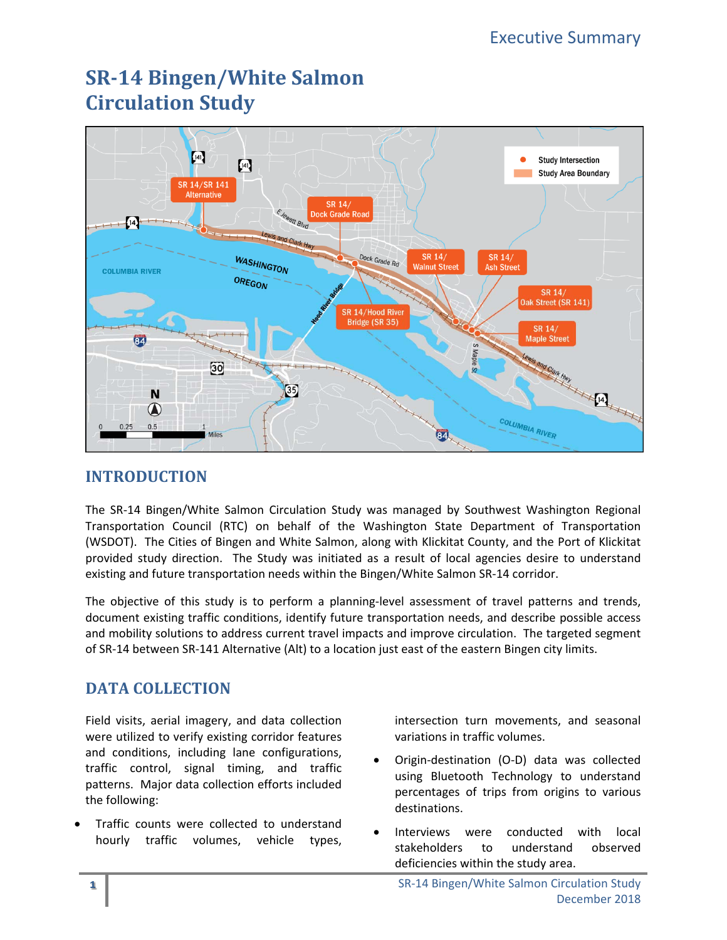# **SR‐14 Bingen/White Salmon Circulation Study**



# **INTRODUCTION**

The SR‐14 Bingen/White Salmon Circulation Study was managed by Southwest Washington Regional Transportation Council (RTC) on behalf of the Washington State Department of Transportation (WSDOT). The Cities of Bingen and White Salmon, along with Klickitat County, and the Port of Klickitat provided study direction. The Study was initiated as a result of local agencies desire to understand existing and future transportation needs within the Bingen/White Salmon SR‐14 corridor.

The objective of this study is to perform a planning-level assessment of travel patterns and trends, document existing traffic conditions, identify future transportation needs, and describe possible access and mobility solutions to address current travel impacts and improve circulation. The targeted segment of SR‐14 between SR‐141 Alternative (Alt) to a location just east of the eastern Bingen city limits.

## **DATA COLLECTION**

Field visits, aerial imagery, and data collection were utilized to verify existing corridor features and conditions, including lane configurations, traffic control, signal timing, and traffic patterns. Major data collection efforts included the following:

 Traffic counts were collected to understand hourly traffic volumes, vehicle types,

intersection turn movements, and seasonal variations in traffic volumes.

- Origin‐destination (O‐D) data was collected using Bluetooth Technology to understand percentages of trips from origins to various destinations.
- Interviews were conducted with local stakeholders to understand observed deficiencies within the study area.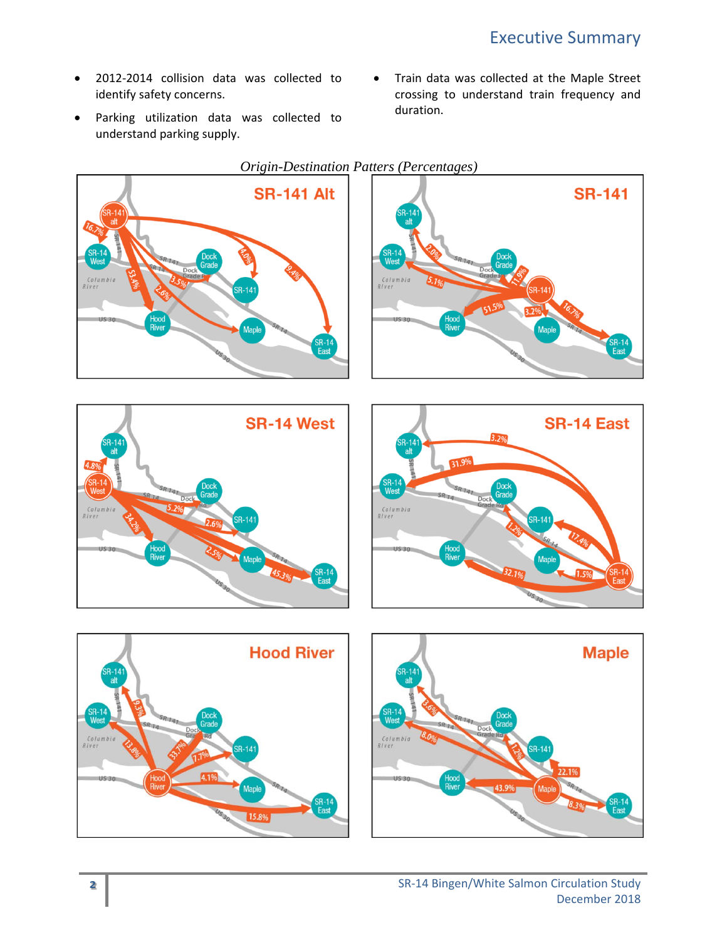- 2012‐2014 collision data was collected to identify safety concerns.
- Parking utilization data was collected to understand parking supply.
- Train data was collected at the Maple Street crossing to understand train frequency and duration.



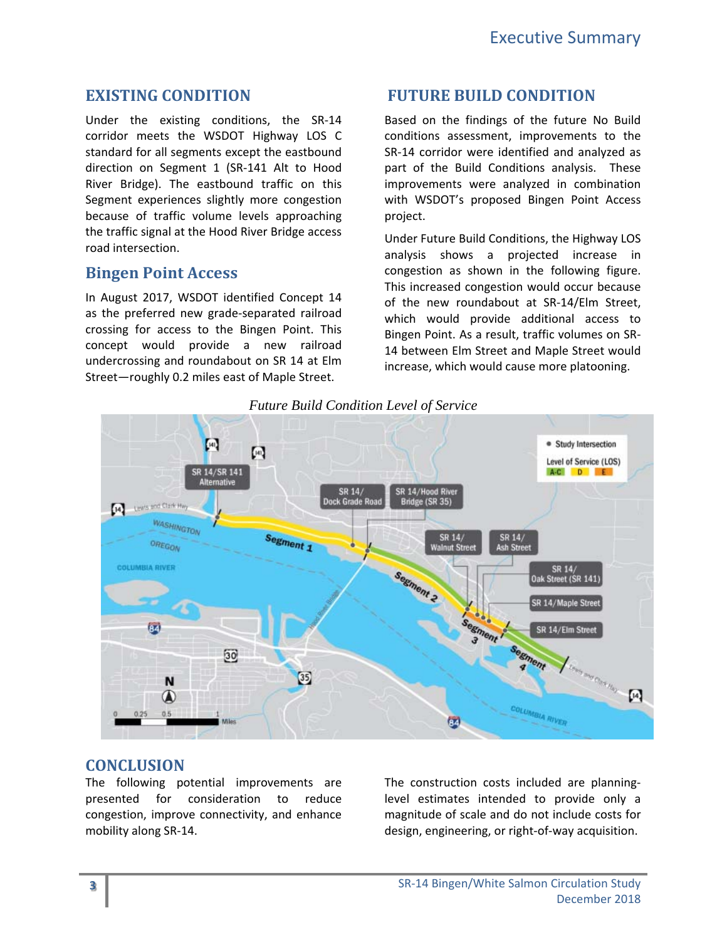#### **EXISTING CONDITION**

Under the existing conditions, the SR‐14 corridor meets the WSDOT Highway LOS C standard for all segments except the eastbound direction on Segment 1 (SR‐141 Alt to Hood River Bridge). The eastbound traffic on this Segment experiences slightly more congestion because of traffic volume levels approaching the traffic signal at the Hood River Bridge access road intersection.

### **Bingen Point Access**

In August 2017, WSDOT identified Concept 14 as the preferred new grade‐separated railroad crossing for access to the Bingen Point. This concept would provide a new railroad undercrossing and roundabout on SR 14 at Elm Street—roughly 0.2 miles east of Maple Street.

#### **FUTURE BUILD CONDITION**

Based on the findings of the future No Build conditions assessment, improvements to the SR‐14 corridor were identified and analyzed as part of the Build Conditions analysis. These improvements were analyzed in combination with WSDOT's proposed Bingen Point Access project.

Under Future Build Conditions, the Highway LOS analysis shows a projected increase in congestion as shown in the following figure. This increased congestion would occur because of the new roundabout at SR‐14/Elm Street, which would provide additional access to Bingen Point. As a result, traffic volumes on SR‐ 14 between Elm Street and Maple Street would increase, which would cause more platooning.



*Future Build Condition Level of Service*

#### **CONCLUSION**

The following potential improvements are presented for consideration to reduce congestion, improve connectivity, and enhance mobility along SR‐14.

The construction costs included are planning‐ level estimates intended to provide only a magnitude of scale and do not include costs for design, engineering, or right‐of‐way acquisition.